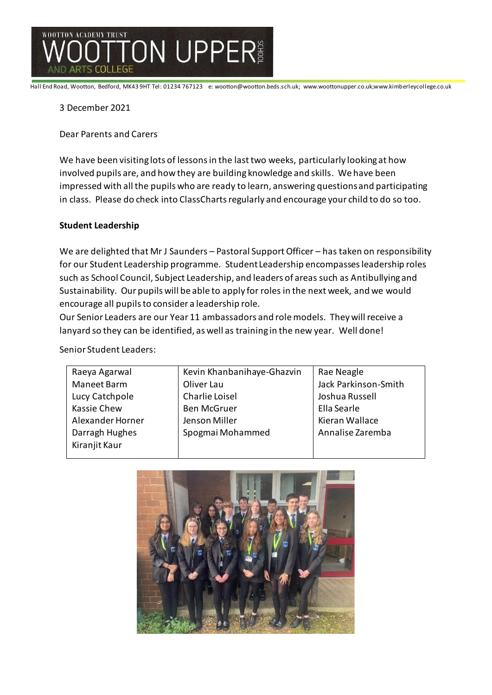

Hall End Road, Wootton, Bedford, MK43 9HT Tel: 01234 767123 e: wootton@wootton.beds.sch.uk; www.woottonupper.co.uk;www.kimberleycollege.co.uk

## 3 December 2021

Dear Parents and Carers

We have been visiting lots of lessons in the last two weeks, particularly looking at how involved pupils are, and how they are building knowledge and skills. We have been impressed with all the pupils who are ready to learn, answering questions and participating in class. Please do check into ClassCharts regularly and encourage your child to do so too.

# **Student Leadership**

We are delighted that Mr J Saunders – Pastoral Support Officer – has taken on responsibility for our Student Leadership programme. Student Leadership encompasses leadership roles such as School Council, Subject Leadership, and leaders of areas such as Antibullying and Sustainability. Our pupils will be able to apply for roles in the next week, and we would encourage all pupils to consider a leadership role.

Our Senior Leaders are our Year 11 ambassadors and role models. They will receive a lanyard so they can be identified, as well as training in the new year. Well done!

Senior Student Leaders:

| Raeya Agarwal      | Kevin Khanbanihaye-Ghazvin | Rae Neagle           |
|--------------------|----------------------------|----------------------|
| Maneet Barm        | Oliver Lau                 | Jack Parkinson-Smith |
| Lucy Catchpole     | Charlie Loisel             | Joshua Russell       |
| <b>Kassie Chew</b> | <b>Ben McGruer</b>         | Ella Searle          |
| Alexander Horner   | Jenson Miller              | Kieran Wallace       |
| Darragh Hughes     | Spogmai Mohammed           | Annalise Zaremba     |
| Kiranjit Kaur      |                            |                      |
|                    |                            |                      |

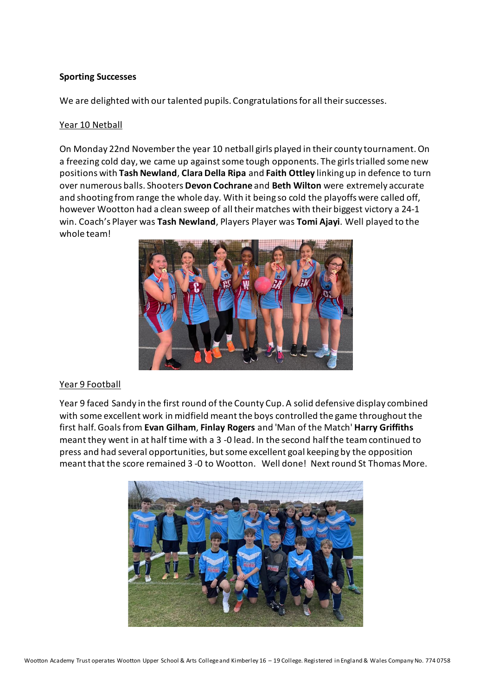## **Sporting Successes**

We are delighted with our talented pupils. Congratulations for all their successes.

## Year 10 Netball

On Monday 22nd Novemberthe year 10 netball girls played in their county tournament.On a freezing cold day, we came up against some tough opponents. The girls trialled some new positions with **Tash Newland**, **Clara Della Ripa** and **Faith Ottley** linking up in defence to turn over numerous balls. Shooters **Devon Cochrane** and **Beth Wilton** were extremely accurate and shooting fromrange the whole day. With it being so cold the playoffs were called off, however Wootton had a clean sweep of all their matches with their biggest victory a 24-1 win. Coach's Player was **Tash Newland**, Players Player was **Tomi Ajayi**. Well played to the whole team!



# Year 9 Football

Year 9 faced Sandy in the first round of the County Cup. A solid defensive display combined with some excellent work in midfield meant the boys controlled the game throughout the first half.Goalsfrom **Evan Gilham**, **Finlay Rogers** and 'Man of the Match' **Harry Griffiths** meant they went in at half time with a 3 -0 lead. In the second halfthe teamcontinued to press and had several opportunities, butsome excellent goal keeping by the opposition meant that the score remained 3 -0 to Wootton. Well done! Nextround St Thomas More.

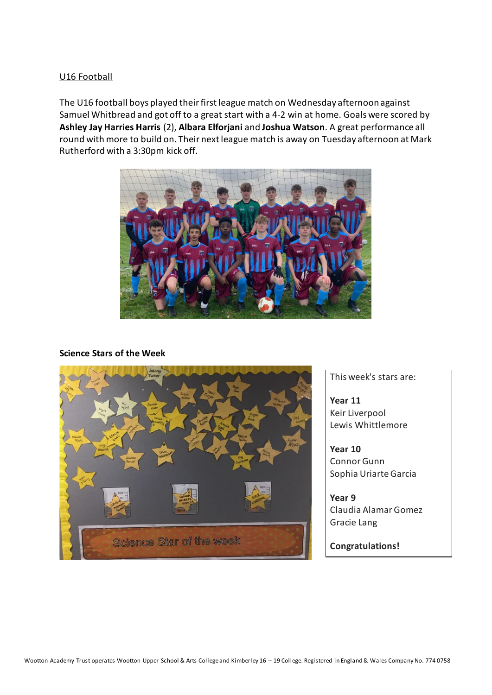## U16 Football

The U16 football boys played their first league match on Wednesday afternoon against Samuel Whitbread and got off to a great start with a 4-2 win at home. Goals were scored by **Ashley Jay Harries Harris** (2), **Albara Elforjani** and **Joshua Watson**. A great performance all round with more to build on. Their next league match is away on Tuesday afternoon at Mark Rutherford with a 3:30pm kick off.



#### **Science Stars of the Week**



This week's stars are:

**Year 11**  Keir Liverpool Lewis Whittlemore

**Year 10** Connor Gunn Sophia Uriarte Garcia

**Year 9** Claudia Alamar Gomez Gracie Lang

**Congratulations!**